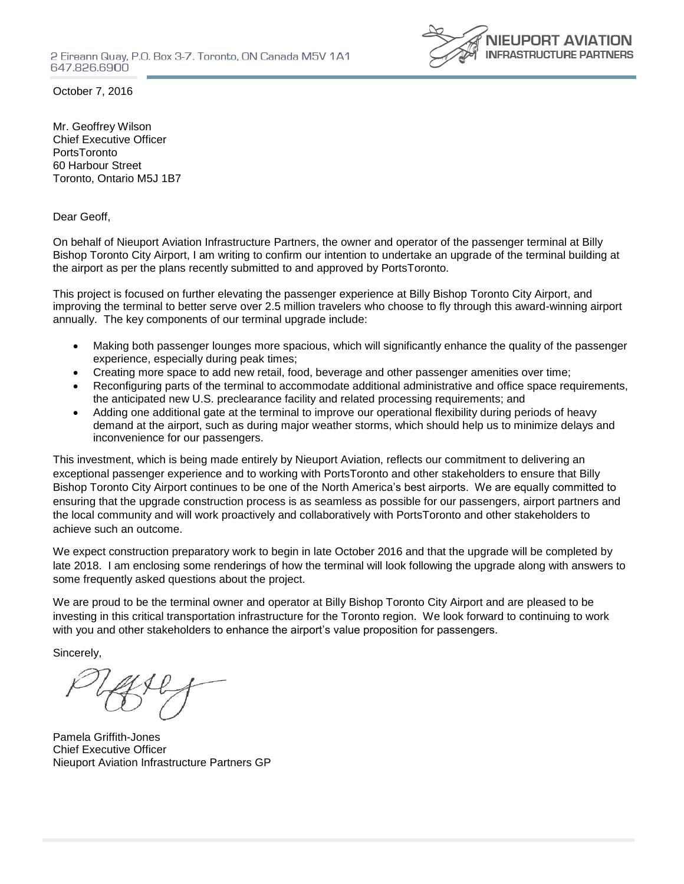

October 7, 2016

Mr. Geoffrey Wilson Chief Executive Officer **PortsToronto** 60 Harbour Street Toronto, Ontario M5J 1B7

Dear Geoff,

On behalf of Nieuport Aviation Infrastructure Partners, the owner and operator of the passenger terminal at Billy Bishop Toronto City Airport, I am writing to confirm our intention to undertake an upgrade of the terminal building at the airport as per the plans recently submitted to and approved by PortsToronto.

This project is focused on further elevating the passenger experience at Billy Bishop Toronto City Airport, and improving the terminal to better serve over 2.5 million travelers who choose to fly through this award-winning airport annually. The key components of our terminal upgrade include:

- Making both passenger lounges more spacious, which will significantly enhance the quality of the passenger experience, especially during peak times;
- Creating more space to add new retail, food, beverage and other passenger amenities over time;
- Reconfiguring parts of the terminal to accommodate additional administrative and office space requirements, the anticipated new U.S. preclearance facility and related processing requirements; and
- Adding one additional gate at the terminal to improve our operational flexibility during periods of heavy demand at the airport, such as during major weather storms, which should help us to minimize delays and inconvenience for our passengers.

This investment, which is being made entirely by Nieuport Aviation, reflects our commitment to delivering an exceptional passenger experience and to working with PortsToronto and other stakeholders to ensure that Billy Bishop Toronto City Airport continues to be one of the North America's best airports. We are equally committed to ensuring that the upgrade construction process is as seamless as possible for our passengers, airport partners and the local community and will work proactively and collaboratively with PortsToronto and other stakeholders to achieve such an outcome.

We expect construction preparatory work to begin in late October 2016 and that the upgrade will be completed by late 2018. I am enclosing some renderings of how the terminal will look following the upgrade along with answers to some frequently asked questions about the project.

We are proud to be the terminal owner and operator at Billy Bishop Toronto City Airport and are pleased to be investing in this critical transportation infrastructure for the Toronto region. We look forward to continuing to work with you and other stakeholders to enhance the airport's value proposition for passengers.

Sincerely,

Pamela Griffith-Jones Chief Executive Officer Nieuport Aviation Infrastructure Partners GP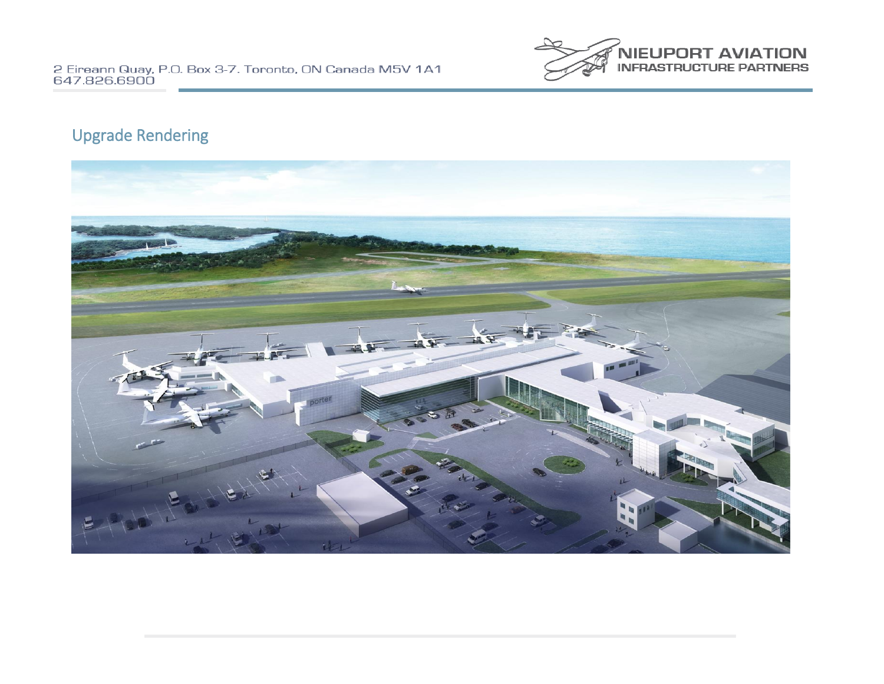

# Upgrade Rendering

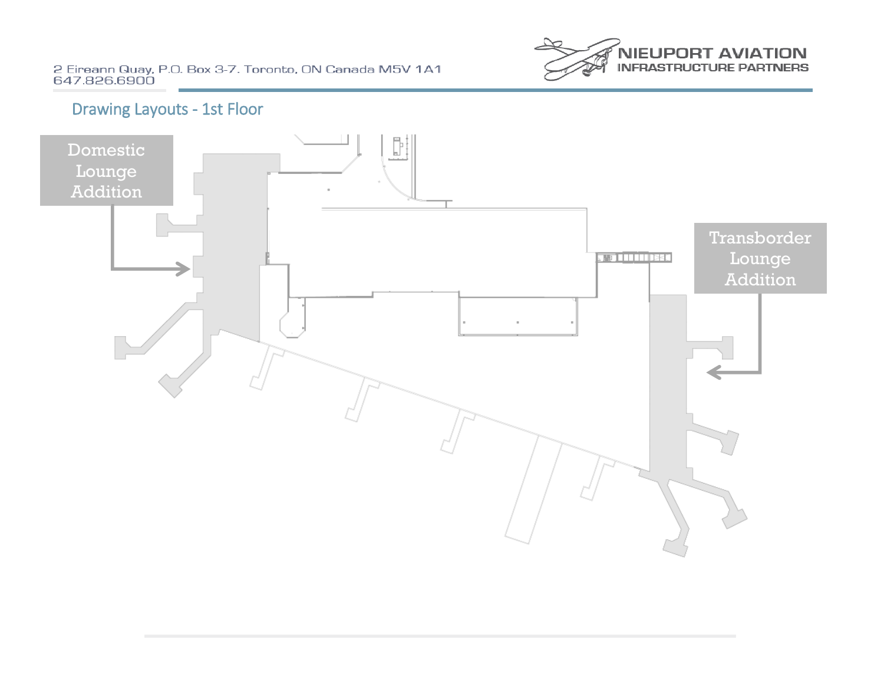2 Eireann Quay, P.O. Box 3-7. Toronto, ON Canada M5V 1A1<br>647.826.6900



# Drawing Layouts - 1st Floor

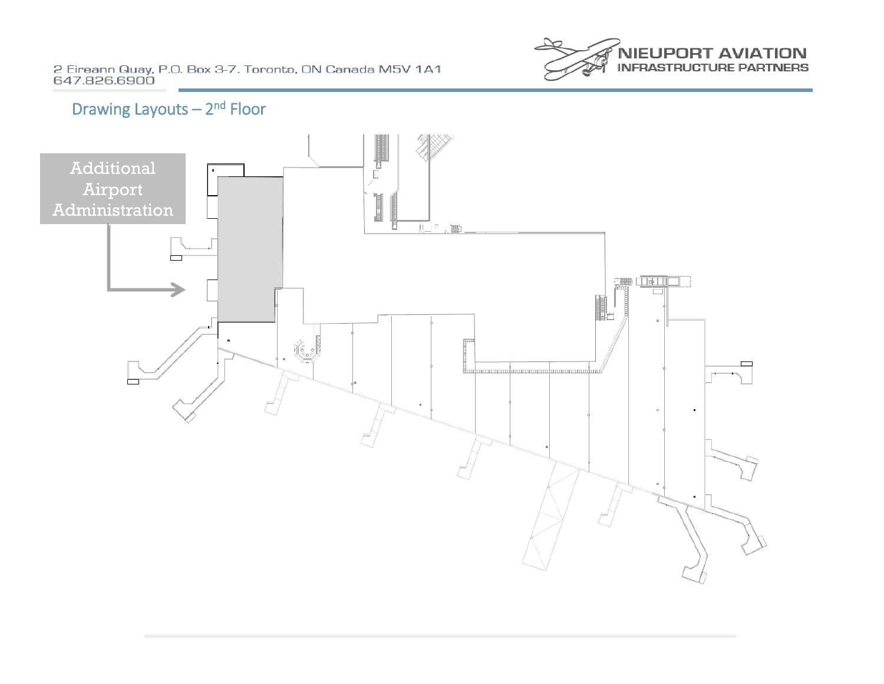2 Eireann Quay, P.O. Box 3-7. Toronto, ON Canada M5V 1A1<br>647.826.6900



# Drawing Layouts - 2<sup>nd</sup> Floor

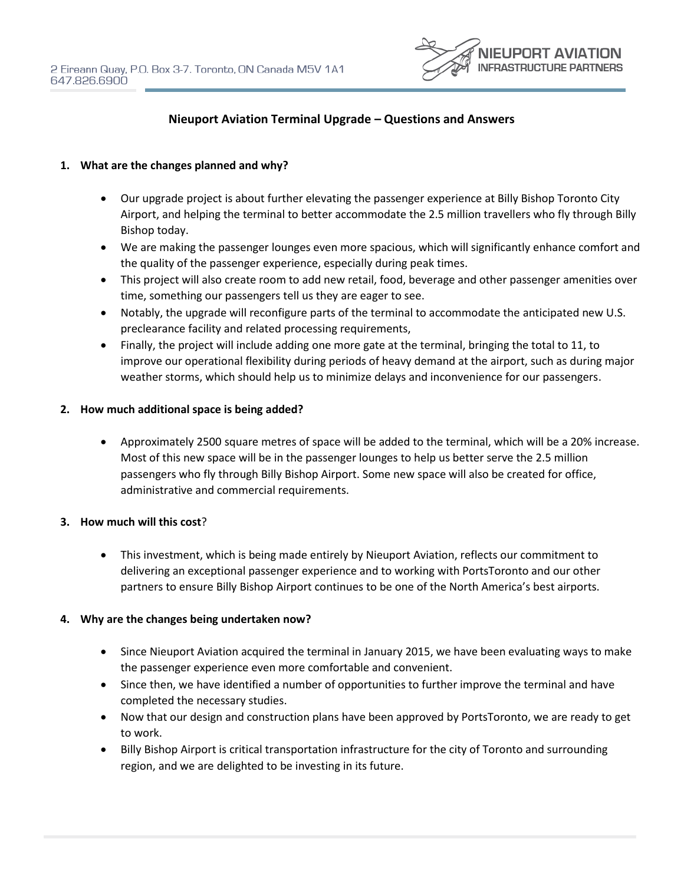

# **Nieuport Aviation Terminal Upgrade – Questions and Answers**

#### **1. What are the changes planned and why?**

- Our upgrade project is about further elevating the passenger experience at Billy Bishop Toronto City Airport, and helping the terminal to better accommodate the 2.5 million travellers who fly through Billy Bishop today.
- We are making the passenger lounges even more spacious, which will significantly enhance comfort and the quality of the passenger experience, especially during peak times.
- This project will also create room to add new retail, food, beverage and other passenger amenities over time, something our passengers tell us they are eager to see.
- Notably, the upgrade will reconfigure parts of the terminal to accommodate the anticipated new U.S. preclearance facility and related processing requirements,
- Finally, the project will include adding one more gate at the terminal, bringing the total to 11, to improve our operational flexibility during periods of heavy demand at the airport, such as during major weather storms, which should help us to minimize delays and inconvenience for our passengers.

#### **2. How much additional space is being added?**

 Approximately 2500 square metres of space will be added to the terminal, which will be a 20% increase. Most of this new space will be in the passenger lounges to help us better serve the 2.5 million passengers who fly through Billy Bishop Airport. Some new space will also be created for office, administrative and commercial requirements.

#### **3. How much will this cost**?

 This investment, which is being made entirely by Nieuport Aviation, reflects our commitment to delivering an exceptional passenger experience and to working with PortsToronto and our other partners to ensure Billy Bishop Airport continues to be one of the North America's best airports.

#### **4. Why are the changes being undertaken now?**

- Since Nieuport Aviation acquired the terminal in January 2015, we have been evaluating ways to make the passenger experience even more comfortable and convenient.
- Since then, we have identified a number of opportunities to further improve the terminal and have completed the necessary studies.
- Now that our design and construction plans have been approved by PortsToronto, we are ready to get to work.
- Billy Bishop Airport is critical transportation infrastructure for the city of Toronto and surrounding region, and we are delighted to be investing in its future.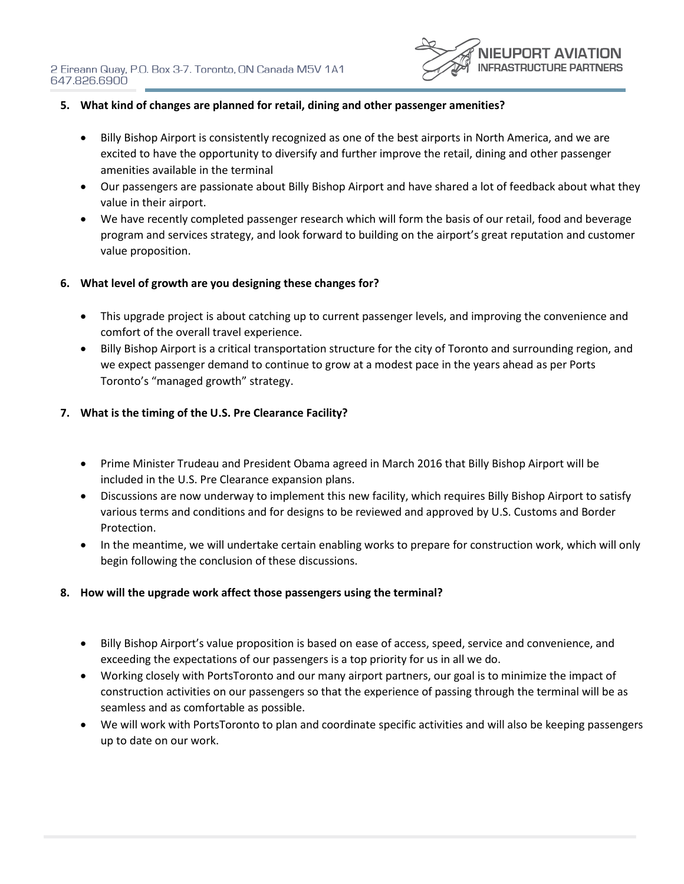

# **5. What kind of changes are planned for retail, dining and other passenger amenities?**

- Billy Bishop Airport is consistently recognized as one of the best airports in North America, and we are excited to have the opportunity to diversify and further improve the retail, dining and other passenger amenities available in the terminal
- Our passengers are passionate about Billy Bishop Airport and have shared a lot of feedback about what they value in their airport.
- We have recently completed passenger research which will form the basis of our retail, food and beverage program and services strategy, and look forward to building on the airport's great reputation and customer value proposition.

## **6. What level of growth are you designing these changes for?**

- This upgrade project is about catching up to current passenger levels, and improving the convenience and comfort of the overall travel experience.
- Billy Bishop Airport is a critical transportation structure for the city of Toronto and surrounding region, and we expect passenger demand to continue to grow at a modest pace in the years ahead as per Ports Toronto's "managed growth" strategy.

## **7. What is the timing of the U.S. Pre Clearance Facility?**

- Prime Minister Trudeau and President Obama agreed in March 2016 that Billy Bishop Airport will be included in the U.S. Pre Clearance expansion plans.
- Discussions are now underway to implement this new facility, which requires Billy Bishop Airport to satisfy various terms and conditions and for designs to be reviewed and approved by U.S. Customs and Border Protection.
- In the meantime, we will undertake certain enabling works to prepare for construction work, which will only begin following the conclusion of these discussions.

## **8. How will the upgrade work affect those passengers using the terminal?**

- Billy Bishop Airport's value proposition is based on ease of access, speed, service and convenience, and exceeding the expectations of our passengers is a top priority for us in all we do.
- Working closely with PortsToronto and our many airport partners, our goal is to minimize the impact of construction activities on our passengers so that the experience of passing through the terminal will be as seamless and as comfortable as possible.
- We will work with PortsToronto to plan and coordinate specific activities and will also be keeping passengers up to date on our work.